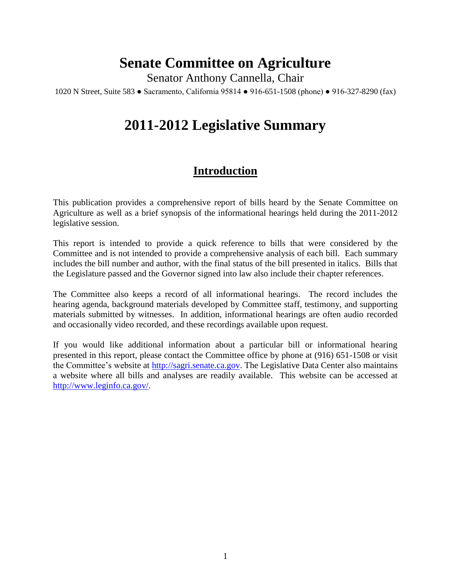# **Senate Committee on Agriculture**

Senator Anthony Cannella, Chair

1020 N Street, Suite 583 ● Sacramento, California 95814 ● 916-651-1508 (phone) ● 916-327-8290 (fax)

# **2011-2012 Legislative Summary**

## **Introduction**

This publication provides a comprehensive report of bills heard by the Senate Committee on Agriculture as well as a brief synopsis of the informational hearings held during the 2011-2012 legislative session.

This report is intended to provide a quick reference to bills that were considered by the Committee and is not intended to provide a comprehensive analysis of each bill. Each summary includes the bill number and author, with the final status of the bill presented in italics. Bills that the Legislature passed and the Governor signed into law also include their chapter references.

The Committee also keeps a record of all informational hearings. The record includes the hearing agenda, background materials developed by Committee staff, testimony, and supporting materials submitted by witnesses. In addition, informational hearings are often audio recorded and occasionally video recorded, and these recordings available upon request.

If you would like additional information about a particular bill or informational hearing presented in this report, please contact the Committee office by phone at (916) 651-1508 or visit the Committee's website at [http://sagri.senate.ca.gov.](http://sagri.senate.ca.gov/) The Legislative Data Center also maintains a website where all bills and analyses are readily available. This website can be accessed at [http://www.leginfo.ca.gov/.](http://www.leginfo.ca.gov/)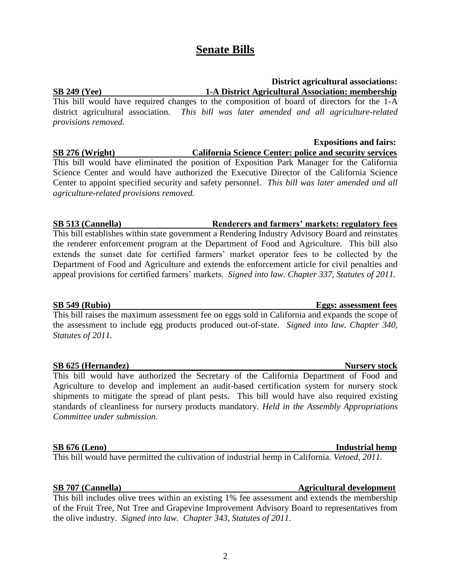# **Senate Bills**

## **District agricultural associations: SB 249 (Yee) 1-A District Agricultural Association: membership**

This bill would have required changes to the composition of board of directors for the 1-A district agricultural association. *This bill was later amended and all agriculture-related provisions removed.*

## **Expositions and fairs:**

**SB 276 (Wright) California Science Center: police and security services** This bill would have eliminated the position of Exposition Park Manager for the California Science Center and would have authorized the Executive Director of the California Science Center to appoint specified security and safety personnel. *This bill was later amended and all agriculture-related provisions removed.*

### **SB 513 (Cannella) Renderers and farmers' markets: regulatory fees**

This bill establishes within state government a Rendering Industry Advisory Board and reinstates the renderer enforcement program at the Department of Food and Agriculture. This bill also extends the sunset date for certified farmers' market operator fees to be collected by the Department of Food and Agriculture and extends the enforcement article for civil penalties and appeal provisions for certified farmers' markets. *Signed into law. Chapter 337, Statutes of 2011.* 

This bill raises the maximum assessment fee on eggs sold in California and expands the scope of the assessment to include egg products produced out-of-state. *Signed into law. Chapter 340, Statutes of 2011.* 

## **SB 625 (Hernandez) Nursery stock**

This bill would have authorized the Secretary of the California Department of Food and Agriculture to develop and implement an audit-based certification system for nursery stock shipments to mitigate the spread of plant pests. This bill would have also required existing standards of cleanliness for nursery products mandatory. *Held in the Assembly Appropriations Committee under submission.*

## **SB 676 (Leno)** Industrial hemp

This bill would have permitted the cultivation of industrial hemp in California. *Vetoed, 2011.*

This bill includes olive trees within an existing 1% fee assessment and extends the membership of the Fruit Tree, Nut Tree and Grapevine Improvement Advisory Board to representatives from the olive industry. *Signed into law. Chapter 343, Statutes of 2011.* 

## **SB 549 (Rubio) Eggs: assessment fees**

## **SB 707 (Cannella) Agricultural development**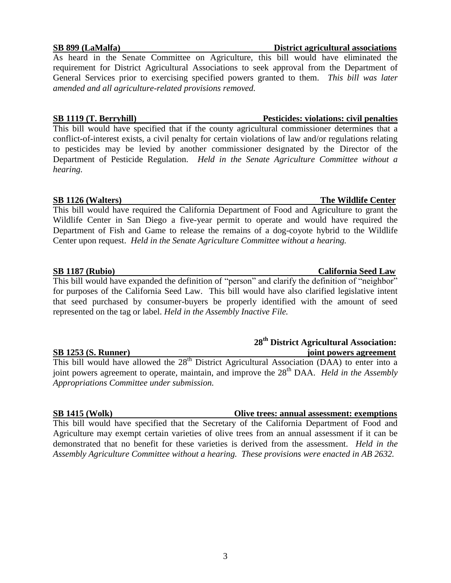As heard in the Senate Committee on Agriculture, this bill would have eliminated the requirement for District Agricultural Associations to seek approval from the Department of General Services prior to exercising specified powers granted to them. *This bill was later amended and all agriculture-related provisions removed.*

### **SB 1119 (T. Berryhill) Pesticides: violations: civil penalties**

This bill would have specified that if the county agricultural commissioner determines that a conflict-of-interest exists, a civil penalty for certain violations of law and/or regulations relating to pesticides may be levied by another commissioner designated by the Director of the Department of Pesticide Regulation. *Held in the Senate Agriculture Committee without a hearing.*

This bill would have required the California Department of Food and Agriculture to grant the Wildlife Center in San Diego a five-year permit to operate and would have required the Department of Fish and Game to release the remains of a dog-coyote hybrid to the Wildlife Center upon request. *Held in the Senate Agriculture Committee without a hearing.*

This bill would have expanded the definition of "person" and clarify the definition of "neighbor" for purposes of the California Seed Law. This bill would have also clarified legislative intent that seed purchased by consumer-buyers be properly identified with the amount of seed represented on the tag or label. *Held in the Assembly Inactive File.*

### **SB 1253 (S. Runner) joint powers agreement**

This bill would have allowed the  $28<sup>th</sup>$  District Agricultural Association (DAA) to enter into a joint powers agreement to operate, maintain, and improve the 28<sup>th</sup> DAA. *Held in the Assembly Appropriations Committee under submission.*

This bill would have specified that the Secretary of the California Department of Food and Agriculture may exempt certain varieties of olive trees from an annual assessment if it can be demonstrated that no benefit for these varieties is derived from the assessment. *Held in the Assembly Agriculture Committee without a hearing. These provisions were enacted in AB 2632.*

### **SB 899 (LaMalfa) District agricultural associations**

### **SB 1126 (Walters) The Wildlife Center**

### **SB 1187 (Rubio) California Seed Law**

## **SB 1415 (Wolk) Olive trees: annual assessment: exemptions**

 **28th District Agricultural Association:**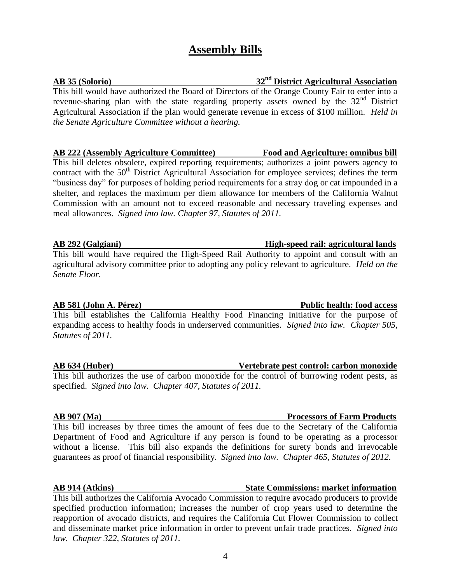# **Assembly Bills**

## **AB 35 (Solorio) 32nd District Agricultural Association**

This bill would have authorized the Board of Directors of the Orange County Fair to enter into a revenue-sharing plan with the state regarding property assets owned by the  $32<sup>nd</sup>$  District Agricultural Association if the plan would generate revenue in excess of \$100 million. *Held in the Senate Agriculture Committee without a hearing.*

## **AB 222 (Assembly Agriculture Committee) Food and Agriculture: omnibus bill**

This bill deletes obsolete, expired reporting requirements; authorizes a joint powers agency to contract with the  $50<sup>th</sup>$  District Agricultural Association for employee services; defines the term "business day" for purposes of holding period requirements for a stray dog or cat impounded in a shelter, and replaces the maximum per diem allowance for members of the California Walnut Commission with an amount not to exceed reasonable and necessary traveling expenses and meal allowances. *Signed into law. Chapter 97, Statutes of 2011.* 

## **AB 292 (Galgiani) High-speed rail: agricultural lands**

This bill would have required the High-Speed Rail Authority to appoint and consult with an agricultural advisory committee prior to adopting any policy relevant to agriculture. *Held on the Senate Floor.*

This bill establishes the California Healthy Food Financing Initiative for the purpose of expanding access to healthy foods in underserved communities. *Signed into law. Chapter 505, Statutes of 2011.* 

## **AB 634 (Huber) Vertebrate pest control: carbon monoxide**

This bill authorizes the use of carbon monoxide for the control of burrowing rodent pests, as specified. *Signed into law. Chapter 407, Statutes of 2011.* 

This bill increases by three times the amount of fees due to the Secretary of the California Department of Food and Agriculture if any person is found to be operating as a processor without a license. This bill also expands the definitions for surety bonds and irrevocable guarantees as proof of financial responsibility. *Signed into law. Chapter 465, Statutes of 2012.*

## **AB 914 (Atkins) State Commissions: market information**

This bill authorizes the California Avocado Commission to require avocado producers to provide specified production information; increases the number of crop years used to determine the reapportion of avocado districts, and requires the California Cut Flower Commission to collect and disseminate market price information in order to prevent unfair trade practices. *Signed into law. Chapter 322, Statutes of 2011.* 

## **AB 581 (John A. Pérez) Public health: food access**

## **AB 907 (Ma) Processors of Farm Products**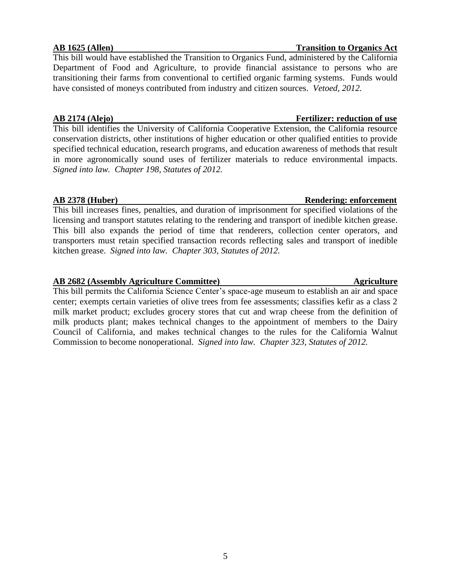This bill would have established the Transition to Organics Fund, administered by the California Department of Food and Agriculture, to provide financial assistance to persons who are transitioning their farms from conventional to certified organic farming systems. Funds would have consisted of moneys contributed from industry and citizen sources. *Vetoed, 2012.*

This bill identifies the University of California Cooperative Extension, the California resource conservation districts, other institutions of higher education or other qualified entities to provide specified technical education, research programs, and education awareness of methods that result in more agronomically sound uses of fertilizer materials to reduce environmental impacts. *Signed into law. Chapter 198, Statutes of 2012.*

## **AB 2378 (Huber) Rendering: enforcement**

This bill increases fines, penalties, and duration of imprisonment for specified violations of the licensing and transport statutes relating to the rendering and transport of inedible kitchen grease. This bill also expands the period of time that renderers, collection center operators, and transporters must retain specified transaction records reflecting sales and transport of inedible kitchen grease. *Signed into law. Chapter 303, Statutes of 2012.*

## **AB 2682 (Assembly Agriculture Committee) Agriculture**

This bill permits the California Science Center's space-age museum to establish an air and space center; exempts certain varieties of olive trees from fee assessments; classifies kefir as a class 2 milk market product; excludes grocery stores that cut and wrap cheese from the definition of milk products plant; makes technical changes to the appointment of members to the Dairy Council of California, and makes technical changes to the rules for the California Walnut Commission to become nonoperational. *Signed into law. Chapter 323, Statutes of 2012.*

### **AB 1625 (Allen) Transition to Organics Act**

## **AB 2174 (Alejo) Fertilizer: reduction of use**